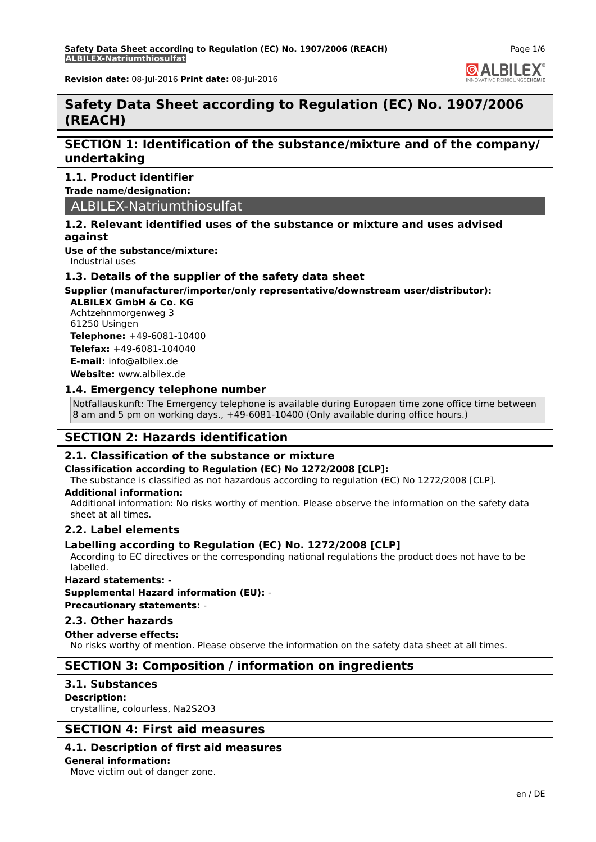**Safety Data Sheet according to Regulation (EC) No. 1907/2006 (REACH) ALBILEX-Natriumthiosulfat**

Page 1/6

**GALBILEX** 

**Revision date:** 08-Jul-2016 **Print date:** 08-Jul-2016

# **Safety Data Sheet according to Regulation (EC) No. 1907/2006 (REACH)**

# **SECTION 1: Identification of the substance/mixture and of the company/ undertaking**

# **1.1. Product identifier**

**Trade name/designation:**

ALBILEX-Natriumthiosulfat

### **1.2. Relevant identified uses of the substance or mixture and uses advised against**

**Use of the substance/mixture:**

Industrial uses

### **1.3. Details of the supplier of the safety data sheet**

# **Supplier (manufacturer/importer/only representative/downstream user/distributor):**

**ALBILEX GmbH & Co. KG** Achtzehnmorgenweg 3 61250 Usingen

**Telephone:** +49-6081-10400 **Telefax:** +49-6081-104040

**E-mail:** info@albilex.de **Website:** www.albilex.de

**1.4. Emergency telephone number**

Notfallauskunft: The Emergency telephone is available during Europaen time zone office time between 8 am and 5 pm on working days., +49-6081-10400 (Only available during office hours.)

# **SECTION 2: Hazards identification**

### **2.1. Classification of the substance or mixture**

### **Classification according to Regulation (EC) No 1272/2008 [CLP]:**

The substance is classified as not hazardous according to regulation (EC) No 1272/2008 [CLP].

### **Additional information:**

Additional information: No risks worthy of mention. Please observe the information on the safety data sheet at all times.

### **2.2. Label elements**

### **Labelling according to Regulation (EC) No. 1272/2008 [CLP]**

According to EC directives or the corresponding national regulations the product does not have to be labelled.

### **Hazard statements:** -

**Supplemental Hazard information (EU):** -

**Precautionary statements:** -

### **2.3. Other hazards**

### **Other adverse effects:**

No risks worthy of mention. Please observe the information on the safety data sheet at all times.

# **SECTION 3: Composition / information on ingredients**

### **3.1. Substances**

**Description:**

crystalline, colourless, Na2S2O3

# **SECTION 4: First aid measures**

# **4.1. Description of first aid measures**

### **General information:**

Move victim out of danger zone.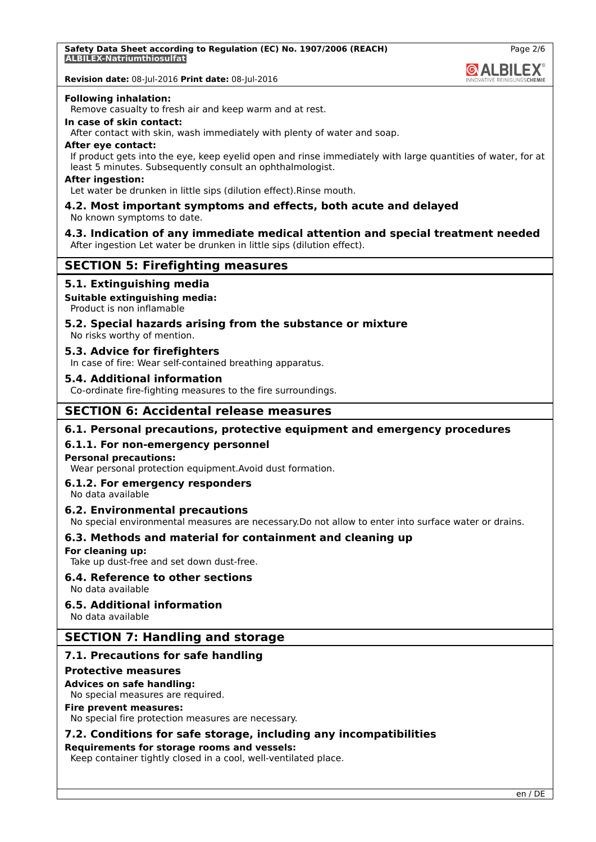**GALBILEX** 

**Revision date:** 08-Jul-2016 **Print date:** 08-Jul-2016

### **Following inhalation:**

Remove casualty to fresh air and keep warm and at rest.

### **In case of skin contact:**

After contact with skin, wash immediately with plenty of water and soap.

### **After eye contact:**

If product gets into the eye, keep eyelid open and rinse immediately with large quantities of water, for at least 5 minutes. Subsequently consult an ophthalmologist.

### **After ingestion:**

Let water be drunken in little sips (dilution effect).Rinse mouth.

### **4.2. Most important symptoms and effects, both acute and delayed** No known symptoms to date.

# **4.3. Indication of any immediate medical attention and special treatment needed**

After ingestion Let water be drunken in little sips (dilution effect).

# **SECTION 5: Firefighting measures**

### **5.1. Extinguishing media**

### **Suitable extinguishing media:**

Product is non inflamable

# **5.2. Special hazards arising from the substance or mixture**

No risks worthy of mention.

### **5.3. Advice for firefighters**

In case of fire: Wear self-contained breathing apparatus.

### **5.4. Additional information**

Co-ordinate fire-fighting measures to the fire surroundings.

# **SECTION 6: Accidental release measures**

### **6.1. Personal precautions, protective equipment and emergency procedures**

### **6.1.1. For non-emergency personnel**

### **Personal precautions:**

Wear personal protection equipment.Avoid dust formation.

### **6.1.2. For emergency responders**

No data available

### **6.2. Environmental precautions**

No special environmental measures are necessary.Do not allow to enter into surface water or drains.

### **6.3. Methods and material for containment and cleaning up**

### **For cleaning up:**

Take up dust-free and set down dust-free.

### **6.4. Reference to other sections**

No data available

### **6.5. Additional information**

No data available

### **SECTION 7: Handling and storage**

### **7.1. Precautions for safe handling**

### **Protective measures**

### **Advices on safe handling:**

No special measures are required.

### **Fire prevent measures:**

No special fire protection measures are necessary.

## **7.2. Conditions for safe storage, including any incompatibilities**

### **Requirements for storage rooms and vessels:**

Keep container tightly closed in a cool, well-ventilated place.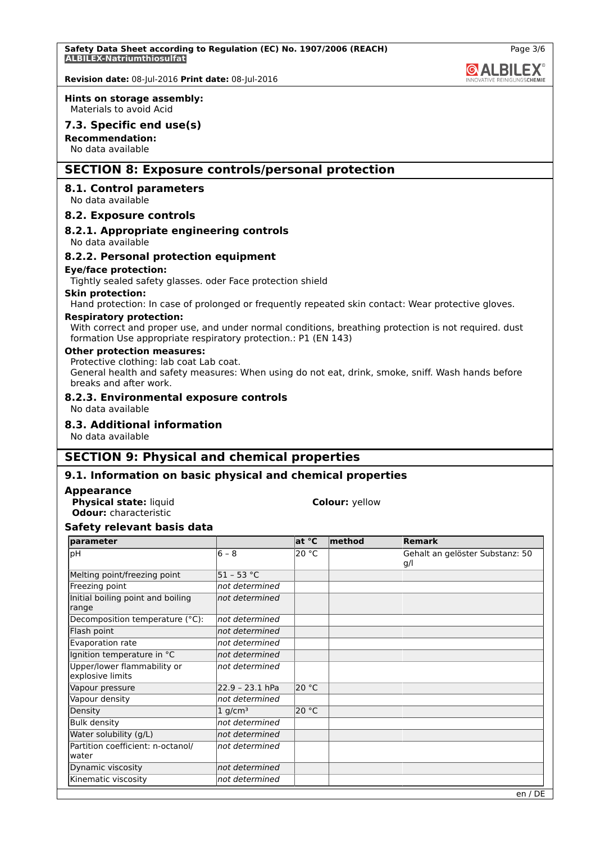**GALBILEX** 

# **Revision date:** 08-Jul-2016 **Print date:** 08-Jul-2016

### **Hints on storage assembly:**

Materials to avoid Acid

### **7.3. Specific end use(s)**

**Recommendation:** No data available

# **SECTION 8: Exposure controls/personal protection**

### **8.1. Control parameters**

No data available

### **8.2. Exposure controls**

# **8.2.1. Appropriate engineering controls**

No data available

### **8.2.2. Personal protection equipment**

### **Eye/face protection:**

Tightly sealed safety glasses. oder Face protection shield

### **Skin protection:**

Hand protection: In case of prolonged or frequently repeated skin contact: Wear protective gloves.

### **Respiratory protection:**

With correct and proper use, and under normal conditions, breathing protection is not required. dust formation Use appropriate respiratory protection.: P1 (EN 143)

### **Other protection measures:**

Protective clothing: lab coat Lab coat.

General health and safety measures: When using do not eat, drink, smoke, sniff. Wash hands before breaks and after work.

### **8.2.3. Environmental exposure controls**

No data available

### **8.3. Additional information**

No data available

# **SECTION 9: Physical and chemical properties**

### **9.1. Information on basic physical and chemical properties**

### **Appearance**

**Physical state:** liquid **Colour:**  $y$ ellow **Odour:** characteristic

### **Safety relevant basis data**

| parameter                                       |                       | lat °C | $ $ method | Remark                                 |
|-------------------------------------------------|-----------------------|--------|------------|----------------------------------------|
| pH                                              | $6 - 8$               | 20 °C  |            | Gehalt an gelöster Substanz: 50<br>g/l |
| Melting point/freezing point                    | $51 - 53 °C$          |        |            |                                        |
| Freezing point                                  | not determined        |        |            |                                        |
| Initial boiling point and boiling<br>range      | not determined        |        |            |                                        |
| Decomposition temperature (°C):                 | Inot determined       |        |            |                                        |
| Flash point                                     | not determined        |        |            |                                        |
| Evaporation rate                                | not determined        |        |            |                                        |
| Ignition temperature in °C                      | not determined        |        |            |                                        |
| Upper/lower flammability or<br>explosive limits | not determined        |        |            |                                        |
| Vapour pressure                                 | $22.9 - 23.1$ hPa     | 20 °C  |            |                                        |
| Vapour density                                  | not determined        |        |            |                                        |
| Density                                         | $1$ g/cm <sup>3</sup> | 20 °C  |            |                                        |
| <b>Bulk density</b>                             | not determined        |        |            |                                        |
| Water solubility (g/L)                          | not determined        |        |            |                                        |
| Partition coefficient: n-octanol/<br>water      | not determined        |        |            |                                        |
| Dynamic viscosity                               | not determined        |        |            |                                        |
| Kinematic viscosity                             | not determined        |        |            |                                        |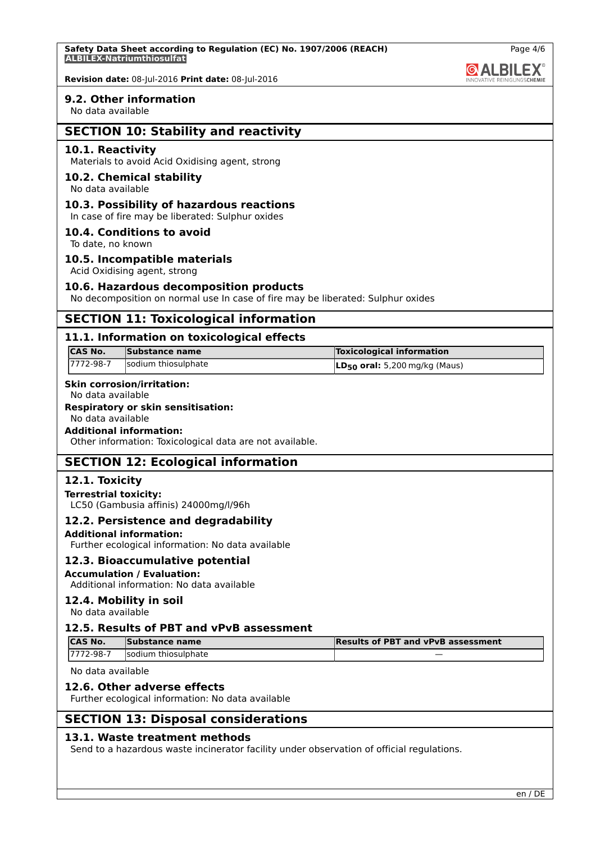

**Revision date:** 08-Jul-2016 **Print date:** 08-Jul-2016

### **9.2. Other information**

No data available

# **SECTION 10: Stability and reactivity**

### **10.1. Reactivity**

Materials to avoid Acid Oxidising agent, strong

### **10.2. Chemical stability**

No data available

### **10.3. Possibility of hazardous reactions**

In case of fire may be liberated: Sulphur oxides

### **10.4. Conditions to avoid**

To date, no known

### **10.5. Incompatible materials**

Acid Oxidising agent, strong

### **10.6. Hazardous decomposition products**

No decomposition on normal use In case of fire may be liberated: Sulphur oxides

# **SECTION 11: Toxicological information**

### **11.1. Information on toxicological effects**

| <b>CAS No.</b> | Substance name      | <b>Toxicological information</b>    |
|----------------|---------------------|-------------------------------------|
| 7772-98-7      | sodium thiosulphate | $ LD_{50}$ oral: 5,200 mg/kg (Maus) |

# **Skin corrosion/irritation:**

# No data available

# **Respiratory or skin sensitisation:**

# No data available

# **Additional information:**

Other information: Toxicological data are not available.

# **SECTION 12: Ecological information**

### **12.1. Toxicity**

### **Terrestrial toxicity:**

LC50 (Gambusia affinis) 24000mg/l/96h

### **12.2. Persistence and degradability**

### **Additional information:**

Further ecological information: No data available

### **12.3. Bioaccumulative potential**

**Accumulation / Evaluation:** Additional information: No data available

# **12.4. Mobility in soil**

No data available

### **12.5. Results of PBT and vPvB assessment**

| <b>ICAS No.</b> | Substance name      | <b>Results of PBT and vPvB assessment</b> |
|-----------------|---------------------|-------------------------------------------|
| 17772-98-7      | sodium thiosulphate |                                           |

No data available

### **12.6. Other adverse effects**

Further ecological information: No data available

# **SECTION 13: Disposal considerations**

### **13.1. Waste treatment methods**

Send to a hazardous waste incinerator facility under observation of official regulations.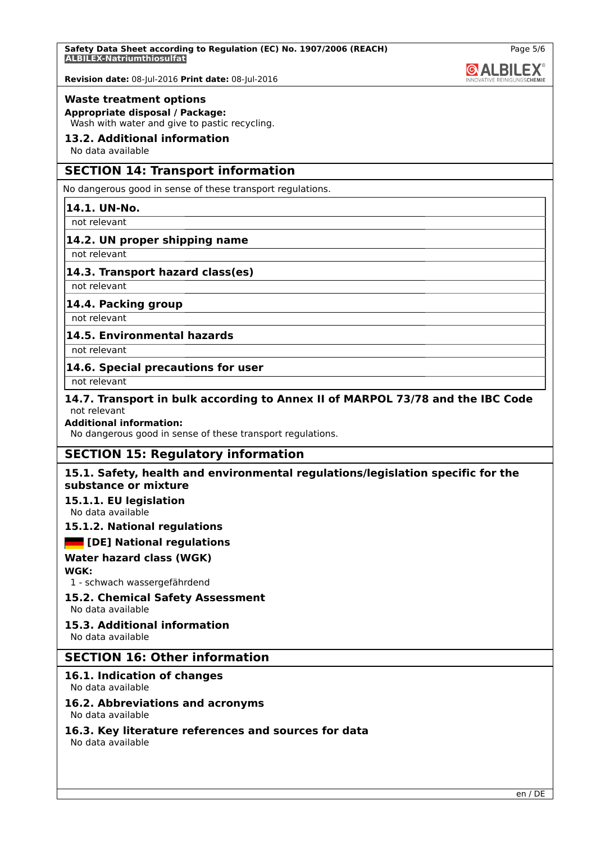

**Revision date:** 08-Jul-2016 **Print date:** 08-Jul-2016

### **Waste treatment options**

**Appropriate disposal / Package:** Wash with water and give to pastic recycling.

## **13.2. Additional information**

No data available

# **SECTION 14: Transport information**

No dangerous good in sense of these transport regulations.

### **14.1. UN-No.**

not relevant

## **14.2. UN proper shipping name**

not relevant

## **14.3. Transport hazard class(es)**

not relevant

## **14.4. Packing group**

not relevant

# **14.5. Environmental hazards**

not relevant

## **14.6. Special precautions for user**

not relevant

### **14.7. Transport in bulk according to Annex II of MARPOL 73/78 and the IBC Code** not relevant

### **Additional information:**

No dangerous good in sense of these transport regulations.

# **SECTION 15: Regulatory information**

## **15.1. Safety, health and environmental regulations/legislation specific for the substance or mixture**

### **15.1.1. EU legislation**

No data available

# **15.1.2. National regulations**

### **[DE] National regulations**

### **Water hazard class (WGK)**

### **WGK:**

1 - schwach wassergefährdend

### **15.2. Chemical Safety Assessment** No data available

# **15.3. Additional information**

No data available

# **SECTION 16: Other information**

# **16.1. Indication of changes**

No data available

### **16.2. Abbreviations and acronyms** No data available

### **16.3. Key literature references and sources for data** No data available

en / DE